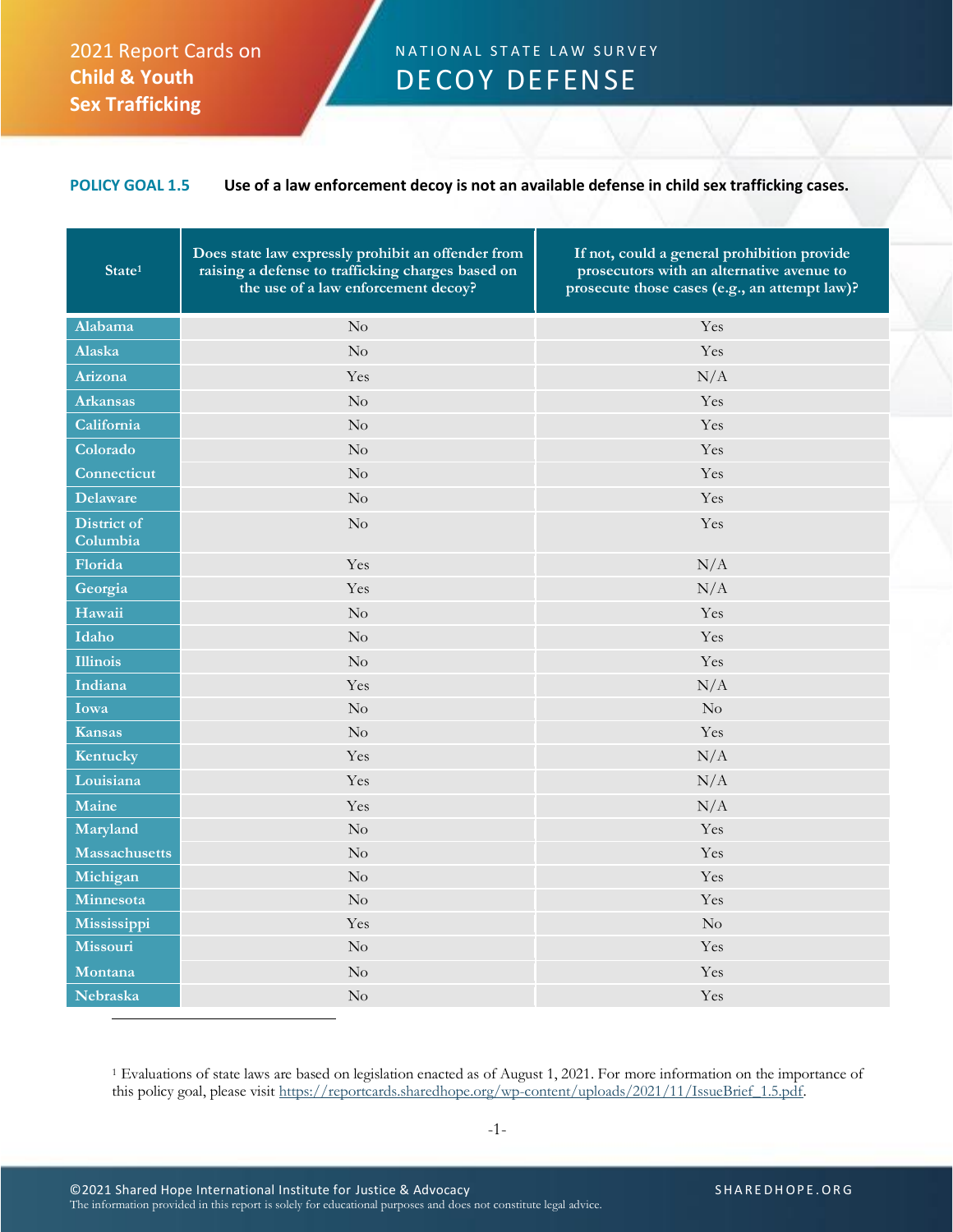## 2021 Report Cards on **Child & Youth Sex Trafficking**

## N A T I ON AL STATE LAW SURVEY DECOY DEFENSE

## **POLICY GOAL 1.5 Use of a law enforcement decoy is not an available defense in child sex trafficking cases.**

| State <sup>1</sup>      | Does state law expressly prohibit an offender from<br>raising a defense to trafficking charges based on<br>the use of a law enforcement decoy? | If not, could a general prohibition provide<br>prosecutors with an alternative avenue to<br>prosecute those cases (e.g., an attempt law)? |
|-------------------------|------------------------------------------------------------------------------------------------------------------------------------------------|-------------------------------------------------------------------------------------------------------------------------------------------|
| Alabama                 | No                                                                                                                                             | Yes                                                                                                                                       |
| Alaska                  | $\rm No$                                                                                                                                       | Yes                                                                                                                                       |
| Arizona                 | Yes                                                                                                                                            | N/A                                                                                                                                       |
| <b>Arkansas</b>         | No                                                                                                                                             | Yes                                                                                                                                       |
| California              | No                                                                                                                                             | Yes                                                                                                                                       |
| Colorado                | $\rm No$                                                                                                                                       | Yes                                                                                                                                       |
| Connecticut             | $\rm No$                                                                                                                                       | Yes                                                                                                                                       |
| <b>Delaware</b>         | N <sub>o</sub>                                                                                                                                 | Yes                                                                                                                                       |
| District of<br>Columbia | No                                                                                                                                             | Yes                                                                                                                                       |
| Florida                 | Yes                                                                                                                                            | N/A                                                                                                                                       |
| Georgia                 | Yes                                                                                                                                            | N/A                                                                                                                                       |
| Hawaii                  | No                                                                                                                                             | Yes                                                                                                                                       |
| Idaho                   | No                                                                                                                                             | Yes                                                                                                                                       |
| <b>Illinois</b>         | No                                                                                                                                             | Yes                                                                                                                                       |
| Indiana                 | Yes                                                                                                                                            | N/A                                                                                                                                       |
| Iowa                    | $\rm No$                                                                                                                                       | $\rm No$                                                                                                                                  |
| <b>Kansas</b>           | No                                                                                                                                             | Yes                                                                                                                                       |
| Kentucky                | Yes                                                                                                                                            | N/A                                                                                                                                       |
| Louisiana               | Yes                                                                                                                                            | N/A                                                                                                                                       |
| Maine                   | Yes                                                                                                                                            | N/A                                                                                                                                       |
| Maryland                | $\rm No$                                                                                                                                       | Yes                                                                                                                                       |
| <b>Massachusetts</b>    | $\rm No$                                                                                                                                       | Yes                                                                                                                                       |
| Michigan                | $\rm No$                                                                                                                                       | Yes                                                                                                                                       |
| Minnesota               | $\rm No$                                                                                                                                       | Yes                                                                                                                                       |
| Mississippi             | Yes                                                                                                                                            | No                                                                                                                                        |
| Missouri                | No                                                                                                                                             | Yes                                                                                                                                       |
| Montana                 | $\rm No$                                                                                                                                       | Yes                                                                                                                                       |
| Nebraska                | $\rm No$                                                                                                                                       | Yes                                                                                                                                       |

<sup>1</sup> Evaluations of state laws are based on legislation enacted as of August 1, 2021. For more information on the importance of this policy goal, please visit [https://reportcards.sharedhope.org/wp-content/uploads/2021/11/IssueBrief\\_1.5.pdf.](https://reportcards.sharedhope.org/wp-content/uploads/2021/11/IssueBrief_1.5.pdf)